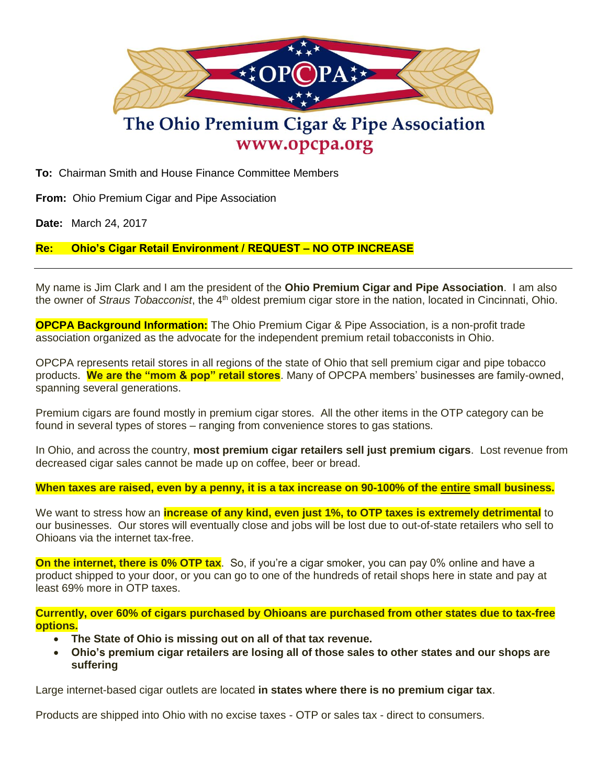

# The Ohio Premium Cigar & Pipe Association www.opcpa.org

**To:** Chairman Smith and House Finance Committee Members

**From:** Ohio Premium Cigar and Pipe Association

**Date:** March 24, 2017

## **Re: Ohio's Cigar Retail Environment / REQUEST – NO OTP INCREASE**

My name is Jim Clark and I am the president of the **Ohio Premium Cigar and Pipe Association**. I am also the owner of *Straus Tobacconist*, the 4<sup>th</sup> oldest premium cigar store in the nation, located in Cincinnati, Ohio.

**OPCPA Background Information:** The Ohio Premium Cigar & Pipe Association, is a non-profit trade association organized as the advocate for the independent premium retail tobacconists in Ohio.

OPCPA represents retail stores in all regions of the state of Ohio that sell premium cigar and pipe tobacco products. **We are the "mom & pop" retail stores**. Many of OPCPA members' businesses are family-owned, spanning several generations.

Premium cigars are found mostly in premium cigar stores. All the other items in the OTP category can be found in several types of stores – ranging from convenience stores to gas stations.

In Ohio, and across the country, **most premium cigar retailers sell just premium cigars**. Lost revenue from decreased cigar sales cannot be made up on coffee, beer or bread.

**When taxes are raised, even by a penny, it is a tax increase on 90-100% of the entire small business.**

We want to stress how an **increase of any kind, even just 1%, to OTP taxes is extremely detrimental** to our businesses. Our stores will eventually close and jobs will be lost due to out-of-state retailers who sell to Ohioans via the internet tax-free.

**On the internet, there is 0% OTP tax**. So, if you're a cigar smoker, you can pay 0% online and have a product shipped to your door, or you can go to one of the hundreds of retail shops here in state and pay at least 69% more in OTP taxes.

**Currently, over 60% of cigars purchased by Ohioans are purchased from other states due to tax-free options.**

- **The State of Ohio is missing out on all of that tax revenue.**
- **Ohio's premium cigar retailers are losing all of those sales to other states and our shops are suffering**

Large internet-based cigar outlets are located **in states where there is no premium cigar tax**.

Products are shipped into Ohio with no excise taxes - OTP or sales tax - direct to consumers.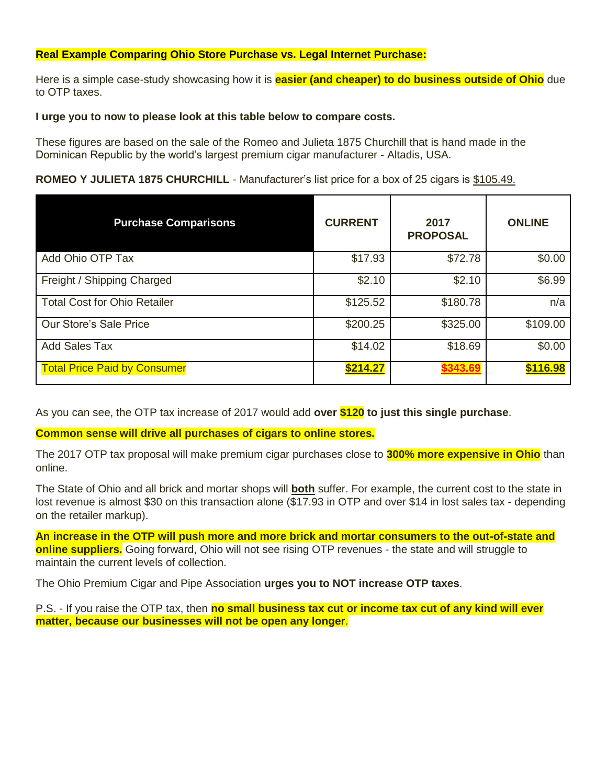### **Real Example Comparing Ohio Store Purchase vs. Legal Internet Purchase:**

Here is a simple case-study showcasing how it is **easier (and cheaper) to do business outside of Ohio** due to OTP taxes.

#### **I urge you to now to please look at this table below to compare costs.**

These figures are based on the sale of the Romeo and Julieta 1875 Churchill that is hand made in the Dominican Republic by the world's largest premium cigar manufacturer - Altadis, USA.

## **ROMEO Y JULIETA 1875 CHURCHILL** - Manufacturer's list price for a box of 25 cigars is \$105.49.

| <b>Purchase Comparisons</b>         | <b>CURRENT</b> | 2017<br><b>PROPOSAL</b> | <b>ONLINE</b> |
|-------------------------------------|----------------|-------------------------|---------------|
| Add Ohio OTP Tax                    | \$17.93        | \$72.78                 | \$0.00        |
| Freight / Shipping Charged          | \$2.10         | \$2.10                  | \$6.99        |
| <b>Total Cost for Ohio Retailer</b> | \$125.52       | \$180.78                | n/a           |
| Our Store's Sale Price              | \$200.25       | \$325.00                | \$109.00      |
| <b>Add Sales Tax</b>                | \$14.02        | \$18.69                 | \$0.00        |
| <b>Total Price Paid by Consumer</b> | \$214.27       | \$343.69                | \$116.98      |

As you can see, the OTP tax increase of 2017 would add **over \$120 to just this single purchase**.

**Common sense will drive all purchases of cigars to online stores.**

The 2017 OTP tax proposal will make premium cigar purchases close to **300% more expensive in Ohio** than online.

The State of Ohio and all brick and mortar shops will **both** suffer. For example, the current cost to the state in lost revenue is almost \$30 on this transaction alone (\$17.93 in OTP and over \$14 in lost sales tax - depending on the retailer markup).

**An increase in the OTP will push more and more brick and mortar consumers to the out-of-state and online suppliers.** Going forward, Ohio will not see rising OTP revenues - the state and will struggle to maintain the current levels of collection.

The Ohio Premium Cigar and Pipe Association **urges you to NOT increase OTP taxes**.

P.S. - If you raise the OTP tax, then **no small business tax cut or income tax cut of any kind will ever matter, because our businesses will not be open any longer**.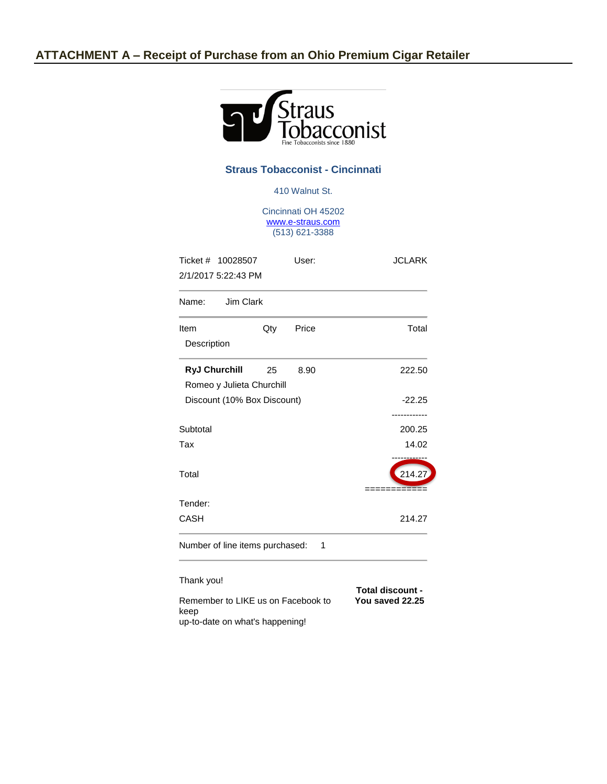

#### **Straus Tobacconist - Cincinnati**

410 Walnut St.

Cincinnati OH 45202 [www.e-straus.com](http://www.e-straus.com/) (513) 621-3388

| Ticket # 10028507<br>2/1/2017 5:22:43 PM |     | User:                                      | <b>JCLARK</b> |  |
|------------------------------------------|-----|--------------------------------------------|---------------|--|
| Name: Jim Clark                          |     |                                            |               |  |
| Item                                     | Qty | Price                                      | Total         |  |
| Description                              |     |                                            |               |  |
| <b>RyJ Churchill</b>                     | 25  | 8.90                                       | 222.50        |  |
| Romeo y Julieta Churchill                |     |                                            |               |  |
| Discount (10% Box Discount)              |     | $-22.25$                                   |               |  |
|                                          |     |                                            |               |  |
| Subtotal                                 |     |                                            | 200.25        |  |
| Tax                                      |     |                                            | 14.02         |  |
| Total                                    |     |                                            | 214.27        |  |
| Tender:                                  |     |                                            |               |  |
| CASH                                     |     |                                            | 214.27        |  |
| Number of line items purchased:          |     | 1                                          |               |  |
| Thank you!                               |     |                                            |               |  |
| Remember to LIKE us on Facebook to       |     | <b>Total discount -</b><br>You saved 22.25 |               |  |

keep up-to-date on what's happening!